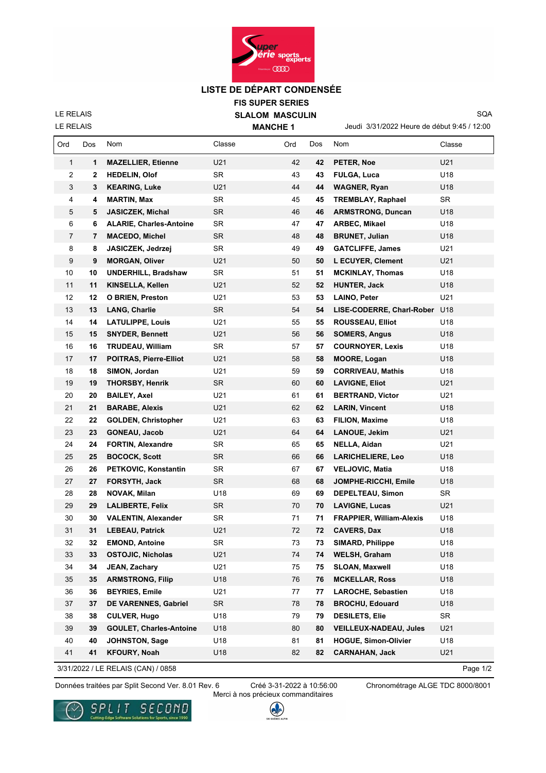

## **LISTE DE DÉPART CONDENSÉE**

**FIS SUPER SERIES SLALOM MASCULIN**

LE RELAIS

LE RELAIS

 $\mathbf{r}$ 

**MANCHE 1**

Jeudi 3/31/2022 Heure de début 9:45 / 12:00

SQA

| Ord            | Dos | Nom                            | Classe    | Ord | Dos | Nom                             | Classe    |
|----------------|-----|--------------------------------|-----------|-----|-----|---------------------------------|-----------|
| $\mathbf{1}$   | 1   | <b>MAZELLIER, Etienne</b>      | U21       | 42  | 42  | PETER, Noe                      | U21       |
| 2              | 2   | <b>HEDELIN, Olof</b>           | <b>SR</b> | 43  | 43  | FULGA, Luca                     | U18       |
| 3              | 3   | <b>KEARING, Luke</b>           | U21       | 44  | 44  | <b>WAGNER, Ryan</b>             | U18       |
| 4              | 4   | <b>MARTIN, Max</b>             | <b>SR</b> | 45  | 45  | TREMBLAY, Raphael               | <b>SR</b> |
| 5              | 5   | <b>JASICZEK, Michal</b>        | <b>SR</b> | 46  | 46  | <b>ARMSTRONG, Duncan</b>        | U18       |
| 6              | 6   | <b>ALARIE, Charles-Antoine</b> | <b>SR</b> | 47  | 47  | ARBEC, Mikael                   | U18       |
| $\overline{7}$ | 7   | <b>MACEDO, Michel</b>          | SR.       | 48  | 48  | <b>BRUNET, Julian</b>           | U18       |
| 8              | 8   | JASICZEK, Jedrzej              | <b>SR</b> | 49  | 49  | <b>GATCLIFFE, James</b>         | U21       |
| 9              | 9   | <b>MORGAN, Oliver</b>          | U21       | 50  | 50  | L ECUYER, Clement               | U21       |
| 10             | 10  | <b>UNDERHILL, Bradshaw</b>     | SR        | 51  | 51  | <b>MCKINLAY, Thomas</b>         | U18       |
| 11             | 11  | KINSELLA, Kellen               | U21       | 52  | 52  | <b>HUNTER, Jack</b>             | U18       |
| 12             | 12  | <b>O BRIEN, Preston</b>        | U21       | 53  | 53  | LAINO, Peter                    | U21       |
| 13             | 13  | <b>LANG, Charlie</b>           | <b>SR</b> | 54  | 54  | LISE-CODERRE, Charl-Rober       | U18       |
| 14             | 14  | <b>LATULIPPE, Louis</b>        | U21       | 55  | 55  | <b>ROUSSEAU, Elliot</b>         | U18       |
| 15             | 15  | <b>SNYDER, Bennett</b>         | U21       | 56  | 56  | <b>SOMERS, Angus</b>            | U18       |
| 16             | 16  | <b>TRUDEAU, William</b>        | <b>SR</b> | 57  | 57  | <b>COURNOYER, Lexis</b>         | U18       |
| 17             | 17  | POITRAS, Pierre-Elliot         | U21       | 58  | 58  | <b>MOORE, Logan</b>             | U18       |
| 18             | 18  | SIMON, Jordan                  | U21       | 59  | 59  | <b>CORRIVEAU, Mathis</b>        | U18       |
| 19             | 19  | <b>THORSBY, Henrik</b>         | <b>SR</b> | 60  | 60  | <b>LAVIGNE, Eliot</b>           | U21       |
| 20             | 20  | <b>BAILEY, Axel</b>            | U21       | 61  | 61  | <b>BERTRAND, Victor</b>         | U21       |
| 21             | 21  | <b>BARABE, Alexis</b>          | U21       | 62  | 62  | <b>LARIN, Vincent</b>           | U18       |
| 22             | 22  | <b>GOLDEN, Christopher</b>     | U21       | 63  | 63  | <b>FILION, Maxime</b>           | U18       |
| 23             | 23  | <b>GONEAU, Jacob</b>           | U21       | 64  | 64  | <b>LANOUE, Jekim</b>            | U21       |
| 24             | 24  | <b>FORTIN, Alexandre</b>       | <b>SR</b> | 65  | 65  | NELLA, Aidan                    | U21       |
| 25             | 25  | <b>BOCOCK, Scott</b>           | SR.       | 66  | 66  | <b>LARICHELIERE, Leo</b>        | U18       |
| 26             | 26  | PETKOVIC, Konstantin           | <b>SR</b> | 67  | 67  | <b>VELJOVIC, Matia</b>          | U18       |
| 27             | 27  | FORSYTH, Jack                  | <b>SR</b> | 68  | 68  | JOMPHE-RICCHI, Emile            | U18       |
| 28             | 28  | NOVAK, Milan                   | U18       | 69  | 69  | <b>DEPELTEAU, Simon</b>         | <b>SR</b> |
| 29             | 29  | <b>LALIBERTE, Felix</b>        | SR.       | 70  | 70  | <b>LAVIGNE, Lucas</b>           | U21       |
| 30             | 30  | <b>VALENTIN, Alexander</b>     | SR        | 71  | 71  | <b>FRAPPIER, William-Alexis</b> | U18       |
| 31             | 31  | <b>LEBEAU, Patrick</b>         | U21       | 72  | 72  | <b>CAVERS, Dax</b>              | U18       |
| 32             | 32  | <b>EMOND, Antoine</b>          | SR        | 73  | 73  | <b>SIMARD, Philippe</b>         | U18       |
| 33             | 33  | OSTOJIC, Nicholas              | U21       | 74  | 74  | WELSH, Graham                   | U18       |
| 34             | 34  | JEAN, Zachary                  | U21       | 75  | 75  | <b>SLOAN, Maxwell</b>           | U18       |
| 35             | 35  | <b>ARMSTRONG, Filip</b>        | U18       | 76  | 76  | <b>MCKELLAR, Ross</b>           | U18       |
| 36             | 36  | <b>BEYRIES, Emile</b>          | U21       | 77  | 77  | <b>LAROCHE, Sebastien</b>       | U18       |
| 37             | 37  | DE VARENNES, Gabriel           | SR        | 78  | 78  | <b>BROCHU, Edouard</b>          | U18       |
| 38             | 38  | <b>CULVER, Hugo</b>            | U18       | 79  | 79  | <b>DESILETS, Elie</b>           | SR        |
| 39             | 39  | <b>GOULET, Charles-Antoine</b> | U18       | 80  | 80  | <b>VEILLEUX-NADEAU, Jules</b>   | U21       |
| 40             | 40  | <b>JOHNSTON, Sage</b>          | U18       | 81  | 81  | <b>HOGUE, Simon-Olivier</b>     | U18       |
| 41             | 41  | <b>KFOURY, Noah</b>            | U18       | 82  | 82  | <b>CARNAHAN, Jack</b>           | U21       |

3/31/2022 / LE RELAIS (CAN) / 0858

Page 1/2

Données traitées par Split Second Ver. 8.01 Rev. 6 Créé 3-31-2022 à 10:56:00 Chronométrage ALGE TDC 8000/8001

Créé 3-31-2022 à 10:56:00 Merci à nos précieux commanditaires